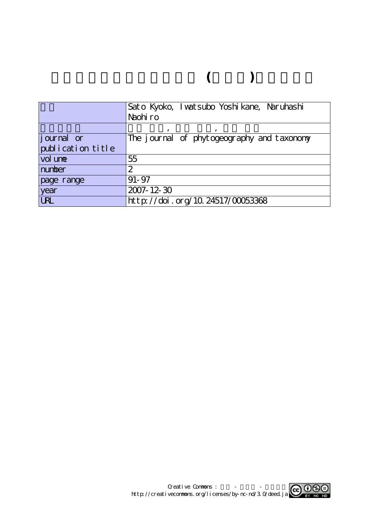# **種子島産セイヨウタンポポ (キク科)の染色体数**

|                   | Sato Kyoko, I watsubo Yoshi kane, Naruhashi |
|-------------------|---------------------------------------------|
|                   | Naohiro                                     |
|                   |                                             |
| journal or        | The journal of phytogeography and taxonomy  |
| publication title |                                             |
| vol une           | 55                                          |
| number            | 2                                           |
| page range        | $91 - 97$                                   |
| year              | 2007-12-30                                  |
| <b>URL</b>        | http://doi.org/10.24517/00053368            |

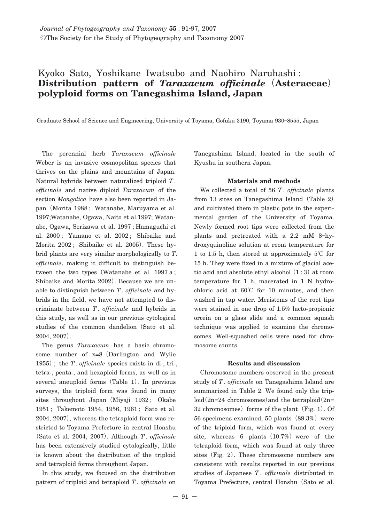## Kyoko Sato, Yoshikane Iwatsubo and Naohiro Naruhashi : **Distribution pattern of** *Taraxacum officinale***(Asteraceae) polyploid forms on Tanegashima Island, Japan**

Graduate School of Science and Engineering, University of Toyama, Gofuku 3190, Toyama 930**―**8555, Japan

The perennial herb *Taraxacum officinale* Weber is an invasive cosmopolitan species that thrives on the plains and mountains of Japan. Natural hybrids between naturalized triploid *T*. *officinale* and native diploid *Taraxacum* of the section *Mongolica* have also been reported in Japan**(**Morita 1988 ; Watanabe, Maruyama et al. 1997;Watanabe, Ogawa, Naito et al.1997; Watanabe, Ogawa, Serizawa et al. 1997 ; Hamaguchi et al. 2000 ; Yamano et al. 2002 ; Shibaike and Morita 2002 ; Shibaike et al. 2005**)**. These hybrid plants are very similar morphologically to *T*. *officinale*, making it difficult to distinguish between the two types**(**Watanabe et al. 1997 a ; Shibaike and Morita 2002**)**. Because we are unable to distinguish between *T*. *officinale* and hybrids in the field, we have not attempted to discriminate between *T*. *officinale* and hybrids in this study, as well as in our previous cytological studies of the common dandelion**(**Sato et al. 2004, 2007**)**.

The genus *Taraxacum* has a basic chromosome number of x=8**(**Darlington and Wylie 1955**)**; the *T*. *officinale* species exists in di-, tri-, tetra-, penta-, and hexaploid forms, as well as in several aneuploid forms**(**Table 1**)**. In previous surveys, the triploid form was found in many sites throughout Japan**(**Miyaji 1932 ; Okabe 1951 ; Takemoto 1954, 1956, 1961 ; Sato et al. 2004, 2007**)**, whereas the tetraploid form was restricted to Toyama Prefecture in central Honshu **(**Sato et al. 2004, 2007**)**. Although *T*. *officinale* has been extensively studied cytologically, little is known about the distribution of the triploid and tetraploid forms throughout Japan.

In this study, we focused on the distribution pattern of triploid and tetraploid *T*. *officinale* on

Tanegashima Island, located in the south of Kyushu in southern Japan.

### **Materials and methods**

We collected a total of 56 *T*. *officinale* plants from 13 sites on Tanegashima Island**(**Table 2**)** and cultivated them in plastic pots in the experimental garden of the University of Toyama. Newly formed root tips were collected from the plants and pretreated with a 2.2 mM 8**―**hydroxyquinoline solution at room temperature for 1 to 1.5 h, then stored at approximately 5**℃** for 15 h. They were fixed in a mixture of glacial acetic acid and absolute ethyl alcohol**(**1:3**)**at room temperature for 1 h, macerated in 1 N hydrochloric acid at 60**℃** for 10 minutes, and then washed in tap water. Meristems of the root tips were stained in one drop of 1.5% lacto-propionic orcein on a glass slide and a common squash technique was applied to examine the chromosomes. Well-squashed cells were used for chromosome counts.

### **Results and discussion**

Chromosome numbers observed in the present study of *T*. *officinale* on Tanegashima Island are summarized in Table 2. We found only the triploid**(**2n=24 chromosomes**)**and the tetraploid**(**2n= 32 chromosomes**)**forms of the plant**(**Fig. 1**)**. Of 56 specimens examined, 50 plants**(**89.3%**)**were of the triploid form, which was found at every site, whereas 6 plants  $(10.7%)$  were of the tetraploid form, which was found at only three sites**(**Fig. 2**)**. These chromosome numbers are consistent with results reported in our previous studies of Japanese *T*. *officinale* distributed in Toyama Prefecture, central Honshu**(**Sato et al.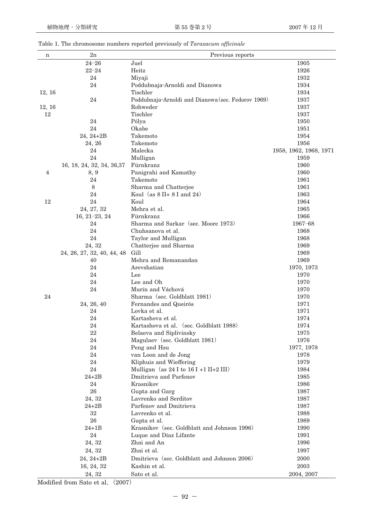|  |  |  | Table 1. The chromosome numbers reported previously of Taraxacum officinale |  |
|--|--|--|-----------------------------------------------------------------------------|--|
|  |  |  |                                                                             |  |

| n      | $_{\rm 2n}$                | Previous reports                                   |                        |
|--------|----------------------------|----------------------------------------------------|------------------------|
|        | $24 - 26$                  | Juel                                               | 1905                   |
|        | $22 - 24$                  | Heitz                                              | 1926                   |
|        | 24                         | Miyaji                                             | 1932                   |
|        | 24                         | Poddubnaja-Arnoldi and Dianowa                     | 1934                   |
| 12, 16 |                            | Tischler                                           | 1934                   |
|        | 24                         | Poddubnaja-Arnoldi and Dianowa (sec. Fedorov 1969) | 1937                   |
| 12, 16 |                            | Rohweder                                           | 1937                   |
| 12     |                            | Tischler                                           | 1937                   |
|        | 24                         | Pólya                                              | 1950                   |
|        | 24                         | Okabe                                              | 1951                   |
|        | $24, 24 + 2B$              | Takemoto                                           | 1954                   |
|        | 24, 26                     | Takemoto                                           | 1956                   |
|        | 24                         | Malecka                                            | 1958, 1962, 1968, 1971 |
|        | 24                         | Mulligan                                           | 1959                   |
|        | 16, 18, 24, 32, 34, 36, 37 | Fürnkranz                                          | 1960                   |
| 4      | 8, 9                       | Panigrahi and Kamathy                              | 1960                   |
|        | 24                         | Takemoto                                           | 1961                   |
|        | 8                          | Sharma and Chatterjee                              | 1961                   |
|        | 24                         | Koul (as $8$ II+ $8$ I and 24)                     | 1963                   |
| 12     | 24                         | Koul                                               | 1964                   |
|        | 24, 27, 32                 | Mehra et al.                                       | 1965                   |
|        | $16, 21-23, 24$            | Fürnkranz                                          | 1966                   |
|        | 24                         | Sharma and Sarkar (sec. Moore 1973)                | $1967 - 68$            |
|        | 24                         | Chuhsanova et al.                                  | 1968                   |
|        | 24                         | Taylor and Mulligan                                | 1968                   |
|        | 24, 32                     | Chatterjee and Sharma                              | 1969                   |
|        | 24, 26, 27, 32, 40, 44, 48 | Gill                                               | 1969                   |
|        | 40                         | Mehra and Remanandan                               | 1969                   |
|        | 24                         | Arevshatian                                        | 1970, 1973             |
|        | 24                         | Lee                                                | 1970                   |
|        | 24                         | Lee and Oh                                         | 1970                   |
|        | 24                         | Murín and Váchová                                  | 1970                   |
| 24     |                            | Sharma (sec. Goldblatt 1981)                       | 1970                   |
|        | 24, 26, 40                 | Fernandes and Queirós                              | 1971                   |
|        | 24                         | Lovka et al.                                       | 1971                   |
|        | 24                         | Kartashova et al.                                  | 1974                   |
|        | 24                         | Kartashova et al. (sec. Goldblatt 1988)            | 1974                   |
|        | 22                         | Belaeva and Siplivinsky                            | 1975                   |
|        | 24                         | Magulaev (sec. Goldblatt 1981)                     | 1976                   |
|        | 24                         | Peng and Hsu                                       | 1977, 1978             |
|        | 24                         | van Loon and de Jong                               | 1978                   |
|        | 24                         | Kliphuis and Wieffering                            | 1979                   |
|        | $24\,$                     | Mulligan (as 24 I to 16 I +1 II+2 III)             | 1984                   |
|        | 24+2B                      | Dmitrieva and Parfenov                             | 1985                   |
|        | 24                         | Krasnikov                                          | 1986                   |
|        | 26                         | Gupta and Garg                                     | 1987                   |
|        | 24, 32                     | Lavrenko and Serditov                              | 1987                   |
|        | $24 + 2B$                  | Parfenov and Dmitrieva                             | 1987                   |
|        | 32                         | Lavrenko et al.                                    | 1988                   |
|        | 26                         | Gupta et al.                                       | 1989                   |
|        | $24 + 1B$                  | Krasnikov (sec. Goldblatt and Johnson 1996)        | 1990                   |
|        | 24                         | Luque and Díaz Lifante                             | 1991                   |
|        | 24, 32                     | Zhai and An                                        | 1996                   |
|        | 24, 32                     | Zhai et al.                                        | 1997                   |
|        | 24, 24+2B                  | Dmitrieva (sec. Goldblatt and Johnson 2006)        | 2000                   |
|        | 16, 24, 32                 | Kashin et al.                                      | 2003                   |
|        | 24, 32                     | Sato et al.                                        | 2004, 2007             |

Modified from Sato et al**.(**2007**)**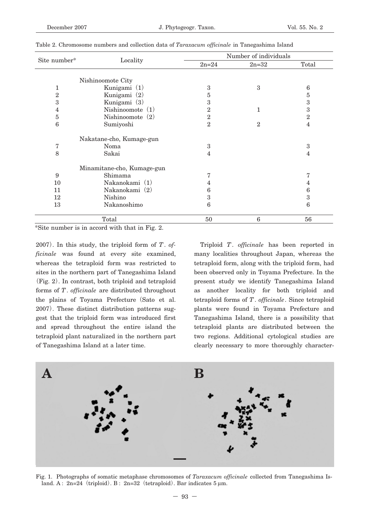|                |                            | Number of individuals |              |                |  |
|----------------|----------------------------|-----------------------|--------------|----------------|--|
| Site number*   | Locality                   | $2n = 24$             | $2n=32$      | Total          |  |
|                | Nishinoomote City          |                       |              |                |  |
|                |                            |                       |              |                |  |
| 1              | Kunigami (1)               | 3                     | 3            | 6              |  |
| $\overline{2}$ | Kunigami (2)               | 5                     |              | $\overline{5}$ |  |
| 3              | Kunigami (3)               | 3                     |              | 3              |  |
| 4              | Nishinoomote $(1)$         | 2                     | 1            | 3              |  |
| 5              | Nishinoomote $(2)$         | $\mathbf{2}$          |              | $\overline{2}$ |  |
| 6              | Sumiyoshi                  | $\mathbf{2}$          | $\mathbf{2}$ | 4              |  |
|                | Nakatane-cho, Kumage-gun   |                       |              |                |  |
| 7              | Noma                       | 3                     |              | 3              |  |
| 8              | Sakai                      | 4                     |              | 4              |  |
|                |                            |                       |              |                |  |
|                | Minamitane-cho, Kumage-gun |                       |              |                |  |
| 9              | Shimama                    | 7                     |              | 7              |  |
| 10             | Nakanokami (1)             | 4                     |              | 4              |  |
| 11             | Nakanokami (2)             | 6                     |              | 6              |  |
| 12             | Nishino                    | 3                     |              | 3              |  |
| 13             | Nakanoshimo                | 6                     |              | 6              |  |
|                |                            |                       |              |                |  |
|                | Total                      | 50                    | 6            | 56             |  |

Table 2. Chromosome numbers and collection data of *Taraxacum officinale* in Tanegashima Island

\*Site number is in accord with that in Fig. 2.

2007**)**. In this study, the triploid form of *T*. *officinale* was found at every site examined, whereas the tetraploid form was restricted to sites in the northern part of Tanegashima Island **(**Fig. 2**)**. In contrast, both triploid and tetraploid forms of *T*. *officinale* are distributed throughout the plains of Toyama Prefecture**(**Sato et al. 2007**)**. These distinct distribution patterns suggest that the triploid form was introduced first and spread throughout the entire island the tetraploid plant naturalized in the northern part of Tanegashima Island at a later time.

Triploid *T*. *officinale* has been reported in many localities throughout Japan, whereas the tetraploid form, along with the triploid form, had been observed only in Toyama Prefecture. In the present study we identify Tanegashima Island as another locality for both triploid and tetraploid forms of *T*. *officinale*. Since tetraploid plants were found in Toyama Prefecture and Tanegashima Island, there is a possibility that tetraploid plants are distributed between the two regions. Additional cytological studies are clearly necessary to more thoroughly character-



Fig. 1. Photographs of somatic metaphase chromosomes of *Taraxacum officinale* collected from Tanegashima Island. A : 2n=24**(**triploid**)**. B : 2n=32**(**tetraploid**)**. Bar indicates 5 μm.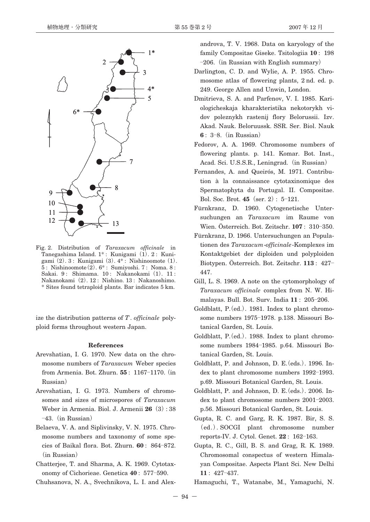

Fig. 2. Distribution of *Taraxacum officinale* in Tanegashima Island. 1\* : Kunigami**(**1**)**. 2 : Kunigami**(**2**)**. 3 : Kunigami**(**3**)**. 4\* : Nishinoomote**(**1**)**. 5 : Nishinoomote**(**2**)**. 6\* : Sumiyoshi. 7 : Noma. 8 : Sakai. 9 : Shimama. 10 : Nakanokami**(**1**)**. 11 : Nakanokami**(**2**)**. 12 : Nishino. 13 : Nakanoshimo. \* Sites found tetraploid plants. Bar indicates 5 km.

ize the distribution patterns of *T*. *officinale* polyploid forms throughout western Japan.

### **References**

- Arevshatian, I. G. 1970. New data on the chromosome numbers of *Taraxacum* Weber species from Armenia. Bot. Zhurn. **55** : 1167**―**1170.**(**in Russian**)**
- Arevshatian, I. G. 1973. Numbers of chromosomes and sizes of microspores of *Taraxacum* Weber in Armenia. Biol. J. Armenii **26(**3**)**: 38 **―**43.**(**in Russian**)**
- Belaeva, V. A. and Siplivinsky, V. N. 1975. Chromosome numbers and taxonomy of some species of Baikal flora. Bot. Zhurn. **60** : 864**―**872. **(**in Russian**)**
- Chatterjee, T. and Sharma, A. K. 1969. Cytotaxonomy of Cichorieae. Genetica **40** : 577**―**590.
- Chuhsanova, N. A., Svechnikova, L. I. and Alex-

androva, T. V. 1968. Data on karyology of the family Compositae Giseke. Tsitologiia **10** : 198 **―**206.**(**in Russian with English summary**)**

- Darlington, C. D. and Wylie, A. P. 1955. Chromosome atlas of flowering plants, 2 nd. ed. p. 249. George Allen and Unwin, London.
- Dmitrieva, S. A. and Parfenov, V. I. 1985. Kariologicheskaja kharakteristika nekotorykh vidov poleznykh rastenij flory Belorussii. Izv. Akad. Nauk. Beloruussk. SSR. Ser. Biol. Nauk **6** : 3**―**8.**(**in Russian**)**
- Fedorov, A. A. 1969. Chromosome numbers of flowering plants. p. 141. Komar. Bot. Inst., Acad. Sci. U.S.S.R., Leningrad.**(**in Russian**)**
- Fernandes, A. and Queirós, M. 1971. Contribution à la connaissance cytotaxinomique des Spermatophyta du Portugal. II. Compositae. Bol. Soc. Brot. **45(**ser. 2**)**: 5**―**121.
- Fürnkranz, D. 1960. Cytogenetische Untersuchungen an *Taraxacum* im Raume von Wien. Österreich. Bot. Zeitschr. **107** : 310**―**350.
- Fürnkranz, D. 1966. Untersuchungen an Populationen des *Taraxacum*-*officinale*-Komplexes im Kontaktgebiet der diploiden und polyploiden Biotypen. Österreich. Bot. Zeitschr. **113** : 427**―** 447.
- Gill, L. S. 1969. A note on the cytomorphology of *Taraxacum officinale* complex from N. W. Himalayas. Bull. Bot. Surv. India **11** : 205**―**206.
- Goldblatt, P.**(**ed.**)**. 1981. Index to plant chromosome numbers 1975**―**1978. p.138. Missouri Botanical Garden, St. Louis.
- Goldblatt, P.**(**ed.**)**. 1988. Index to plant chromosome numbers 1984**―**1985. p.64. Missouri Botanical Garden, St. Louis.
- Goldblatt, P. and Johnson, D. E.**(**eds.**)**. 1996. Index to plant chromosome numbers 1992**―**1993. p.69. Missouri Botanical Garden, St. Louis.
- Goldblatt, P. and Johnson, D. E.**(**eds.**)**. 2006. Index to plant chromosome numbers 2001**―**2003. p.56. Missouri Botanical Garden, St. Louis.
- Gupta, R. C. and Garg, R. K. 1987. Bir, S. S. **(**ed.**)**. SOCGI plant chromosome number reports-IV. J. Cytol. Genet. **22** : 162**―**163.
- Gupta, R. C., Gill, B. S. and Grag, R. K. 1989. Chromosomal conspectus of western Himalayan Compositae. Aspects Plant Sci. New Delhi **11** : 427**―**437.

Hamaguchi, T., Watanabe, M., Yamaguchi, N.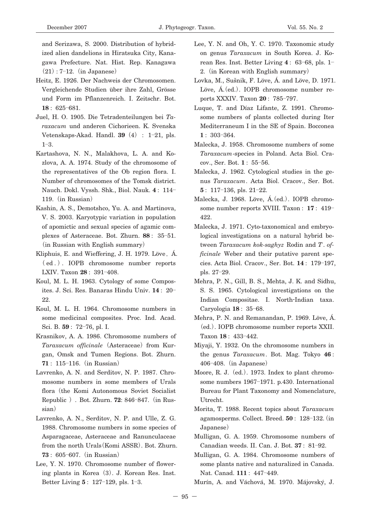and Serizawa, S. 2000. Distribution of hybridized alien dandelions in Hiratsuka City, Kanagawa Prefecture. Nat. Hist. Rep. Kanagawa **(**21**)**: 7**―**12.**(**in Japanese**)**

- Heitz, E. 1926. Der Nachweis der Chromosomen. Vergleichende Studien über ihre Zahl, Grösse und Form im Pflanzenreich. I. Zeitschr. Bot. **18** : 625**―**681.
- Juel, H. O. 1905. Die Tetradenteilungen bei *Taraxacum* und anderen Cichorieen. K. Svenska Vetenskaps-Akad. Handl. **39(**4**)** : 1**―**21, pls. 1**―**3.
- Kartashova, N. N., Malakhova, L. A. and Kozlova, A. A. 1974. Study of the chromosome of the representatives of the Ob region flora. I. Number of chromosomes of the Tomsk district. Nauch. Dokl. Vyssh. Shk., Biol. Nauk. **4** : 114**―** 119.**(**in Russian**)**
- Kashin, A. S., Demotshco, Yu. A. and Martinova, V. S. 2003. Karyotypic variation in population of apomictic and sexual species of agamic complexes of Asteraceae. Bot. Zhurn. **88** : 35**―**51. **(**in Russian with English summary**)**
- Kliphuis, E. and Wieffering, J. H. 1979. Löve**,**Á. **(** ed . **)**. IOPB chromosome number reports LXIV. Taxon **28** : 391**―**408.
- Koul, M. L. H. 1963. Cytology of some Composites. J. Sci. Res. Banaras Hindu Univ. **14** : 20**―** 22.
- Koul, M. L. H. 1964. Chromosome numbers in some medicinal composites. Proc. Ind. Acad. Sci. B. **59** : 72**―**76, pl. I.
- Krasnikov, A. A. 1986. Chromosome numbers of *Taraxacum officinale***(**Asteraceae**)**from Kurgan, Omsk and Tumen Regions. Bot. Zhurn. **71** : 115**―**116.**(**in Russian**)**
- Lavrenko, A. N. and Serditov, N. P. 1987. Chromosome numbers in some members of Urals flora**(**the Komi Autonomous Soviet Socialist Republic **)**. Bot. Zhurn. **72**: 846**―**847.**(**in Russian**)**
- Lavrenko, A. N., Serditov, N. P. and Ulle, Z. G. 1988. Chromosome numbers in some species of Asparagaceae, Asteraceae and Ranunculaceae from the north Urals**(**Komi ASSR**)**. Bot. Zhurn. **73** : 605**―**607.**(**in Russian**)**
- Lee, Y. N. 1970. Chromosome number of flowering plants in Korea**(**3**)**. J. Korean Res. Inst. Better Living **5** : 127**―**129, pls. 1**―**3.
- Lee, Y. N. and Oh, Y. C. 1970. Taxonomic study on genus *Taraxacum* in South Korea. J. Korean Res. Inst. Better Living **4** : 63**―**68, pls. 1**―** 2.**(**in Korean with English summary**)**
- Lovka, M., Sušnik, F. Löve, Á. and Löve, D. 1971. Löve, Á.**(**ed.**)**. IOPB chromosome number reports XXXIV. Taxon **20** : 785**―**797.
- Luque, T. and Díaz Lifante, Z. 1991. Chromosome numbers of plants collected during Iter Mediterraneum I in the SE of Spain. Bocconea **1** : 303**―**364.
- Malecka, J. 1958. Chromosome numbers of some *Taraxacum*-species in Poland. Acta Biol. Cracov., Ser. Bot. **1** : 55**―**56.
- Malecka, J. 1962. Cytological studies in the genus *Taraxacum*. Acta Biol. Cracov., Ser. Bot. **5** : 117**―**136, pls. 21**―**22.
- Malecka, J. 1968. Löve, Á.**(**ed.**)**. IOPB chromosome number reports XVIII. Taxon : **17** : 419**―** 422.
- Malecka, J. 1971. Cyto-taxonomical and embryological investigations on a natural hybrid between *Taraxacum kok-saghyz* Rodin and *T*. *officinale* Weber and their putative parent species. Acta Biol. Cracov., Ser. Bot. **14** : 179**―**197, pls. 27**―**29.
- Mehra, P. N., Gill, B. S., Mehta, J. K. and Sidhu, S. S. 1965. Cytological investigations on the Indian Compositae. I. North-Indian taxa. Caryologia **18** : 35**―**68.
- Mehra, P. N. and Remanandan, P. 1969. Löve, Á. **(**ed.**)**. IOPB chromosome number reports XXII. Taxon **18** : 433**―**442.
- Miyaji, Y. 1932. On the chromosome numbers in the genus *Taraxacum*. Bot. Mag. Tokyo **46** : 406**―**408.**(**in Japanese**)**
- Moore, R. J.**(**ed.**)**. 1973. Index to plant chromosome numbers 1967**―**1971. p.430. International Bureau for Plant Taxonomy and Nomenclature, Utrecht.
- Morita, T. 1988. Recent topics about *Taraxacum* agamosperms. Collect. Breed. **50** : 128**―**132.**(**in Japanese**)**
- Mulligan, G. A. 1959. Chromosome numbers of Canadian weeds. II. Can. J. Bot. **37** : 81**―**92.
- Mulligan, G. A. 1984. Chromosome numbers of some plants native and naturalized in Canada. Nat. Canad. **111** : 447**―**449.

Murín, A. and Váchová, M. 1970. Májovsky, J. ′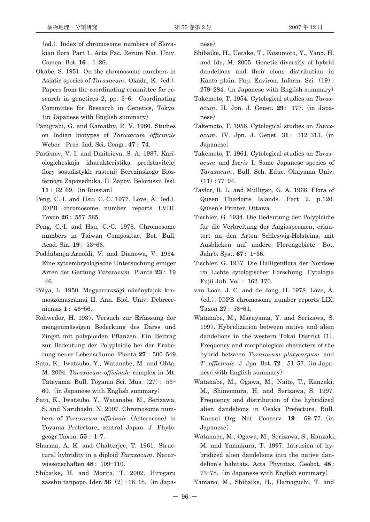**(**ed.**)**. Index of chromosome numbers of Slovakian flora Part 1. Acta Fac. Rerum Nat. Univ. Comen. Bot. **16** : 1**―**26.

- Okabe, S. 1951. On the chromosome numbers in Asiatic species of *Taraxacum*. Okada, K.**(**ed.**)**. Papers from the coordinating committee for research in genetices 2, pp. 3**―**6. Coordinating Committee for Research in Genetics, Tokyo. **(**in Japanese with English summary**)**
- Panigrahi, G. and Kamathy, R. V. 1960. Studies on Indian biotypes of *Taraxacum officinale* Weber. Proc. Ind. Sci. Congr. **47** : 74.
- Parfenov, V. I. and Dmitrieva, S. A. 1987. Kariologicheskaja kharakteristika predstavitelej flory sosudistykh rastenij Berezinskogo Biosfernogo Zapovednika. II. Zapov. Belorussii Issl. **11** : 62**―**69.**(**in Russian**)**
- Peng, C.-I. and Hsu, C.-C. 1977. Löve, Á.**(**ed.**)**. IOPB chromosome number reports LVIII. Taxon **26** : 557**―**565.
- Peng, C.-I. and Hsu, C.-C. 1978. Chromosome numbers in Taiwan Compositae. Bot. Bull. Acad. Sin. **19** : 53**―**66.
- Poddubnaja-Arnoldi, V. and Dianowa, V. 1934. Eine zytoembryologische Untersuchung einiger Arten der Gattung *Taraxacum*. Planta **23** : 19 **―**46.
- Pólya, L. 1950. Magyarországi növényfajok kromoszómaszámai II. Ann. Biol. Univ. Debreceniensis **1** : 46**―**56.
- Rohweder, H. 1937. Versuch zur Erfassung der mengenmässigen Bedeckung des Darss und Zingst mit polyploiden Pflanzen. Ein Beitrag zur Bedeutung der Polyploidie bei der Eroberung neuer Lebensräume. Planta **27** : 500**―**549.
- Sato, K., Iwatsubo, Y., Watanabe, M. and Ohta, M. 2004. *Taraxacum officinale* complex in Mt. Tateyama. Bull. Toyama Sci. Mus.**(**27**)**: 53**―** 60.**(**in Japanese with English summary**)**
- Sato, K., Iwatsubo, Y., Watanabe, M., Serizawa, S. and Naruhashi, N. 2007. Chromosome numbers of *Taraxacum officinale***(**Asteraceae**)**in Toyama Prefecture, central Japan. J. Phytogeogr.Taxon. **55** : 1**―**7.
- Sharma, A. K. and Chatterjee, T. 1961. Structural hybridity in a diploid *Taraxacum*. Naturwissenschaften **48** : 109**―**110.
- Shibaike, H. and Morita, T. 2002. Hirogaru zasshu tanpopo. Iden **56(**2**)**: 16**―**18.**(**in Japa-

nese**)**

- Shibaike, H., Uetake, T., Kusumoto, Y., Yano. H. and Ide, M. 2005. Genetic diversity of hybrid dandelions and their clone distribution in Kanto plain. Pap. Environ. Inform. Sci.**(**19**)**: 279**―**284.**(**in Japanese with English summary**)**
- Takemoto, T. 1954. Cytological studies on *Taraxacum*. II. Jpn. J. Genet. **29** : 177.**(**in Japanese**)**
- Takemoto, T. 1956. Cytological studies on *Taraxacum*. IV. Jpn. J. Genet. **31** : 312**―**313.**(**in Japanese**)**
- Takemoto, T. 1961. Cytological studies on *Taraxacum* and *Ixeris* I. Some Japanese species of *Taraxacum*. Bull. Sch. Educ. Okayama Univ. **(**11**)**: 77**―**94.
- Taylor, R. L. and Mulligan, G. A. 1968. Flora of Queen Charlotte Islands. Part 2. p.120. Queen's Printer, Ottawa.
- Tischler, G. 1934. Die Bedeutung der Polyploidie für die Verbreitung der Angiospermen, erläutert an den Arten Schleswig-Holsteins, mit Ausblicken auf andere Florengebiete. Bot. Jahrb. Syst. **67** : 1**―**36.
- Tischler, G. 1937. Die Halligenflora der Nordsee im Lichte cytologischer Forschung. Cytologia Fujii Jub. Vol. : 162**―**170.
- van Loon, J. C. and de Jong, H. 1978. Löve, Á. **(**ed.**)**. IOPB chromosome number reports LIX. Taxon **27** : 53**―**61.
- Watanabe, M., Maruyama, Y. and Serizawa, S. 1997. Hybridization between native and alien dandelions in the western Tokai District**(**1**)**. Frequency and morphological characters of the hybrid between *Taraxacum platycarpum* and *T*. *officinale*. J. Jpn. Bot. **72** : 51**―**57.**(**in Japanese with English summary**)**
- Watanabe, M., Ogawa, M., Naito, T., Kanzaki, M., Shimomura, H. and Serizawa, S. 1997. Frequency and distribution of the hybridized alien dandelions in Osaka Prefecture. Bull. Kansai Org. Nat. Conserv. **19** : 69**―**77.**(**in Japanese**)**
- Watanabe, M., Ogawa, M., Serizawa, S., Kanzaki, M. and Yamakura, T. 1997. Intrusion of hybridized alien dandelions into the native dandelion's habitats. Acta Phytotax. Geobot. **48** : 73**―**78.**(**in Japanese with English summary**)**

Yamano, M., Shibaike, H., Hamaguchi, T. and